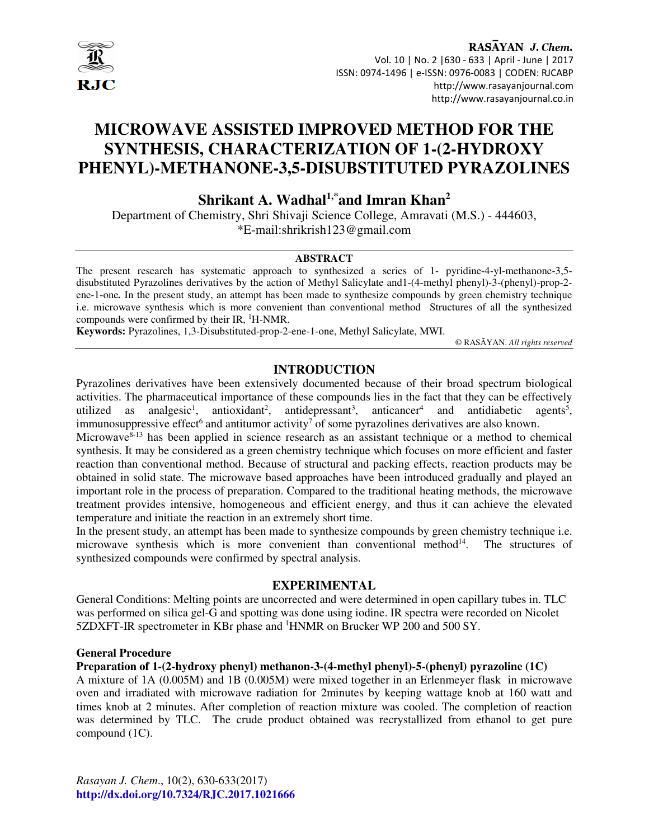

## RASAYAN J. Chem. Vol. 10 | No. 2 |630 - 633 | April - June | 2017 ISSN: 0974-1496 | e-ISSN: 0976-0083 | CODEN: RJCABP http://www.rasayanjournal.com http://www.rasayanjournal.co.in

# **MICROWAVE ASSISTED IMPROVED METHOD FOR THE SYNTHESIS, CHARACTERIZATION OF 1-(2-HYDROXY PHENYL)-METHANONE-3,5-DISUBSTITUTED PYRAZOLINES**

**Shrikant A. Wadhal1,\*and Imran Khan<sup>2</sup>**

Department of Chemistry, Shri Shivaji Science College, Amravati (M.S.) - 444603, \*E-mail:shrikrish123@gmail.com

#### **ABSTRACT**

The present research has systematic approach to synthesized a series of 1- pyridine-4-yl-methanone-3,5 disubstituted Pyrazolines derivatives by the action of Methyl Salicylate and1-(4-methyl phenyl)-3-(phenyl)-prop-2 ene-1-one*.* In the present study, an attempt has been made to synthesize compounds by green chemistry technique i.e. microwave synthesis which is more convenient than conventional method Structures of all the synthesized compounds were confirmed by their IR, <sup>1</sup>H-NMR.

**Keywords:** Pyrazolines, 1,3-Disubstituted-prop-2-ene-1-one, Methyl Salicylate, MWI.

© RASĀYAN. *All rights reserved*

## **INTRODUCTION**

Pyrazolines derivatives have been extensively documented because of their broad spectrum biological activities. The pharmaceutical importance of these compounds lies in the fact that they can be effectively utilized as analgesic<sup>1</sup>, antioxidant<sup>2</sup>, antidepressant<sup>3</sup>, anticancer<sup>4</sup> and antidiabetic agents<sup>5</sup>, immunosuppressive effect<sup>6</sup> and antitumor activity<sup>7</sup> of some pyrazolines derivatives are also known.

Microwave $8-13$  has been applied in science research as an assistant technique or a method to chemical synthesis. It may be considered as a green chemistry technique which focuses on more efficient and faster reaction than conventional method. Because of structural and packing effects, reaction products may be obtained in solid state. The microwave based approaches have been introduced gradually and played an important role in the process of preparation. Compared to the traditional heating methods, the microwave treatment provides intensive, homogeneous and efficient energy, and thus it can achieve the elevated temperature and initiate the reaction in an extremely short time.

In the present study, an attempt has been made to synthesize compounds by green chemistry technique i.e. microwave synthesis which is more convenient than conventional method $14$ . The structures of synthesized compounds were confirmed by spectral analysis.

## **EXPERIMENTAL**

General Conditions: Melting points are uncorrected and were determined in open capillary tubes in. TLC was performed on silica gel-G and spotting was done using iodine. IR spectra were recorded on Nicolet 5ZDXFT-IR spectrometer in KBr phase and <sup>1</sup>HNMR on Brucker WP 200 and 500 SY.

#### **General Procedure**

**Preparation of 1-(2-hydroxy phenyl) methanon-3-(4-methyl phenyl)-5-(phenyl) pyrazoline (1C)** 

A mixture of 1A (0.005M) and 1B (0.005M) were mixed together in an Erlenmeyer flask in microwave oven and irradiated with microwave radiation for 2minutes by keeping wattage knob at 160 watt and times knob at 2 minutes. After completion of reaction mixture was cooled. The completion of reaction was determined by TLC. The crude product obtained was recrystallized from ethanol to get pure compound (1C).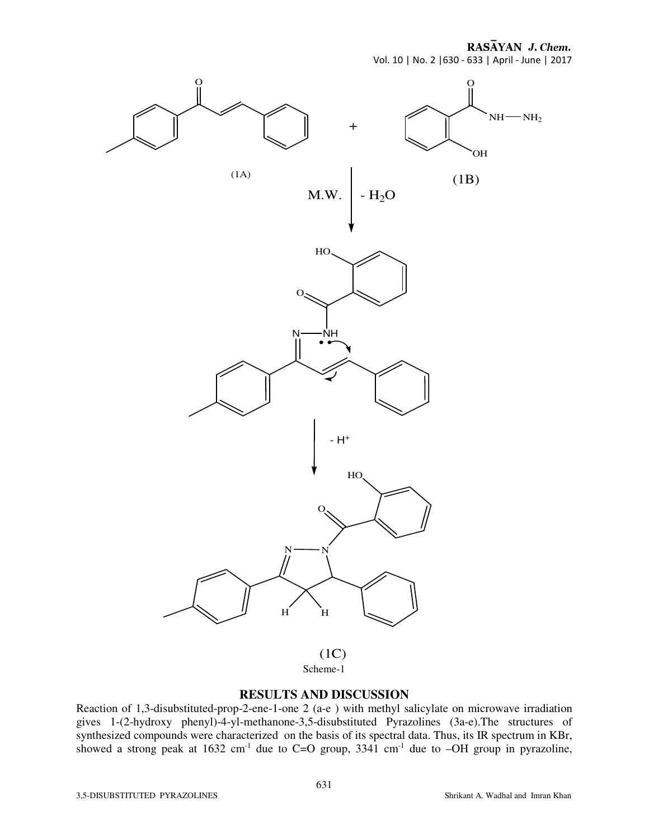RASAYAN J. Chem. Vol. 10 | No. 2 |630 - 633 | April - June | 2017



## **RESULTS AND DISCUSSION**

Reaction of 1,3-disubstituted-prop-2-ene-1-one 2 (a-e ) with methyl salicylate on microwave irradiation gives 1-(2-hydroxy phenyl)-4-yl-methanone-3,5-disubstituted Pyrazolines (3a-e).The structures of synthesized compounds were characterized on the basis of its spectral data. Thus, its IR spectrum in KBr, showed a strong peak at  $1632 \text{ cm}^{-1}$  due to  $C=O$  group,  $3341 \text{ cm}^{-1}$  due to  $-OH$  group in pyrazoline,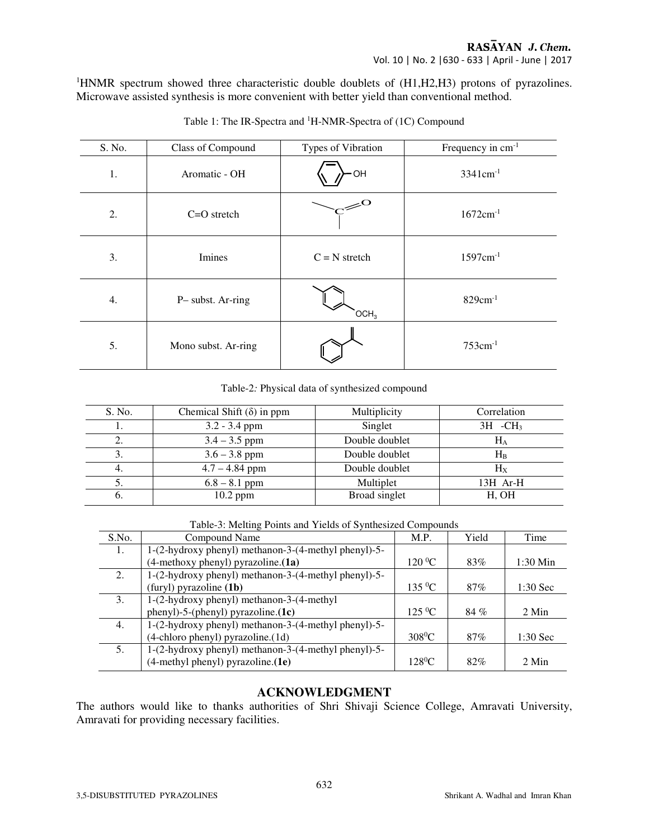<sup>1</sup>HNMR spectrum showed three characteristic double doublets of (H1,H2,H3) protons of pyrazolines. Microwave assisted synthesis is more convenient with better yield than conventional method.

| S. No. | Class of Compound   | Types of Vibration   | Frequency in cm <sup>-1</sup> |  |  |
|--------|---------------------|----------------------|-------------------------------|--|--|
| 1.     | Aromatic - OH       | ·OH                  | $3341$ cm <sup>-1</sup>       |  |  |
| 2.     | $C=O$ stretch       |                      | $1672cm^{-1}$                 |  |  |
| 3.     | Imines              | $C = N$ stretch      | $1597cm^{-1}$                 |  |  |
| 4.     | P-subst. Ar-ring    | $\overline{OCH}_{3}$ | $829cm^{-1}$                  |  |  |
| 5.     | Mono subst. Ar-ring |                      | $753cm^{-1}$                  |  |  |

Table 1: The IR-Spectra and <sup>1</sup>H-NMR-Spectra of (1C) Compound

#### Table-2*:* Physical data of synthesized compound

| S. No.     | Chemical Shift $(\delta)$ in ppm | Multiplicity   | Correlation           |
|------------|----------------------------------|----------------|-----------------------|
|            | $3.2 - 3.4$ ppm                  | Singlet        | $3H$ -CH <sub>3</sub> |
|            | $3.4 - 3.5$ ppm                  | Double doublet | $H_A$                 |
|            | $3.6 - 3.8$ ppm                  | Double doublet | $H_{B}$               |
| 4.         | $4.7 - 4.84$ ppm                 | Double doublet | $H_X$                 |
|            | $6.8 - 8.1$ ppm                  | Multiplet      | $13H$ Ar-H            |
| $\sigma$ . | $10.2$ ppm                       | Broad singlet  | H, OH                 |

Table-3: Melting Points and Yields of Synthesized Compounds

| S.No. | Compound Name                                        | M.P.            | Yield | Time       |
|-------|------------------------------------------------------|-----------------|-------|------------|
| 1.    | 1-(2-hydroxy phenyl) methanon-3-(4-methyl phenyl)-5- |                 |       |            |
|       | (4-methoxy phenyl) pyrazoline.(1a)                   | $120\,^0C$      | 83%   | $1:30$ Min |
| 2.    | 1-(2-hydroxy phenyl) methanon-3-(4-methyl phenyl)-5- |                 |       |            |
|       | (furyl) pyrazoline (1b)                              | $135\text{ °C}$ | 87%   | $1:30$ Sec |
| 3.    | 1-(2-hydroxy phenyl) methanon-3-(4-methyl            |                 |       |            |
|       | $phenyl$ )-5-( $phenyl$ ) pyrazoline.(1c)            | $125\,{}^{0}C$  | 84 %  | 2 Min      |
| 4.    | 1-(2-hydroxy phenyl) methanon-3-(4-methyl phenyl)-5- |                 |       |            |
|       | (4-chloro phenyl) pyrazoline.(1d)                    | $308^{\circ}$ C | 87%   | $1:30$ Sec |
| 5.    | 1-(2-hydroxy phenyl) methanon-3-(4-methyl phenyl)-5- |                 |       |            |
|       | $(4$ -methyl phenyl) pyrazoline. $(1e)$              | $128^{\circ}$ C | 82%   | 2 Min      |

## **ACKNOWLEDGMENT**

The authors would like to thanks authorities of Shri Shivaji Science College, Amravati University, Amravati for providing necessary facilities.